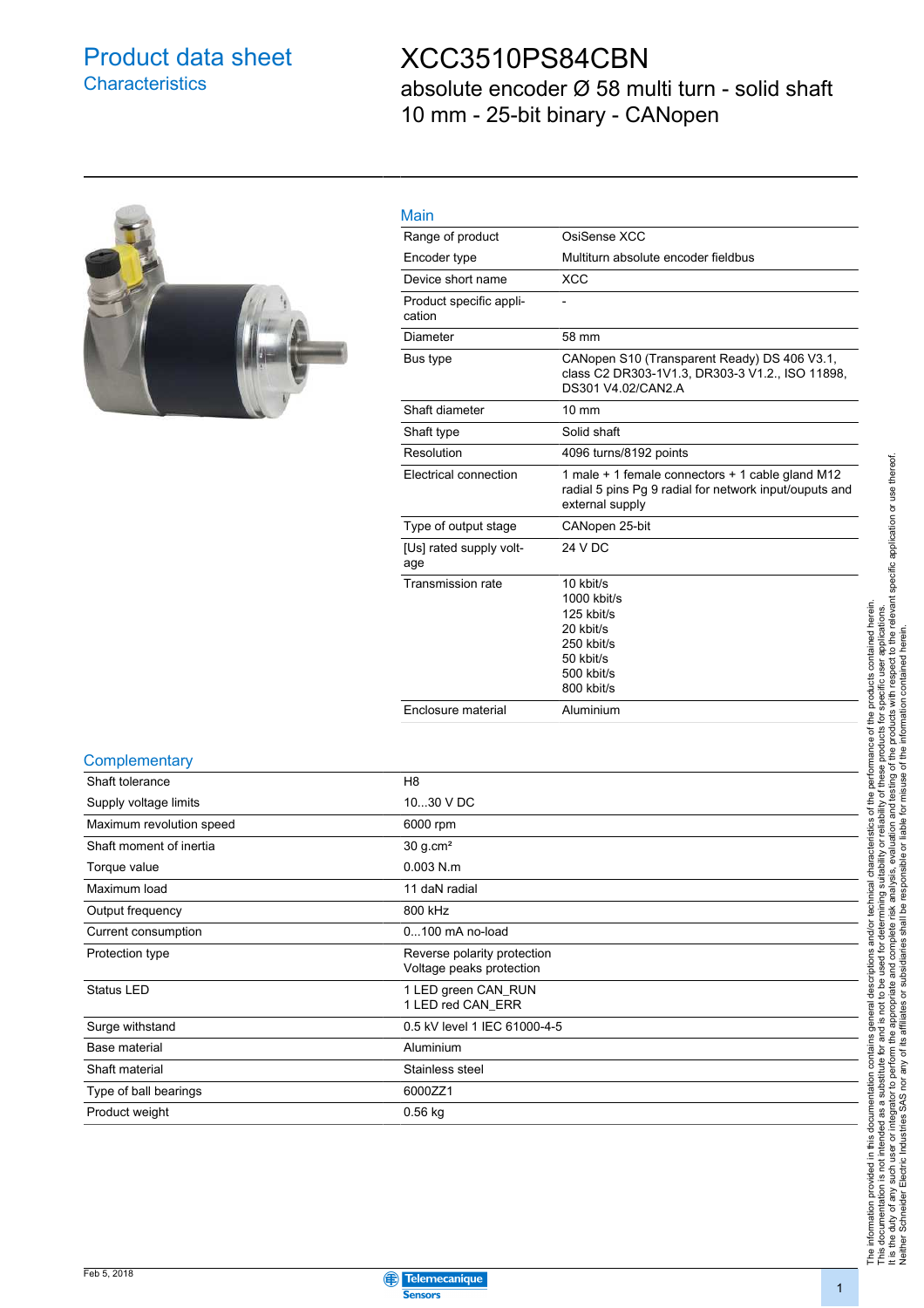### Product data sheet **Characteristics**

### XCC3510PS84CBN

absolute encoder Ø 58 multi turn - solid shaft 10 mm - 25-bit binary - CANopen



| __ |
|----|
|    |

| Main                              |                                                                                                                               |
|-----------------------------------|-------------------------------------------------------------------------------------------------------------------------------|
| Range of product                  | OsiSense XCC                                                                                                                  |
| Encoder type                      | Multiturn absolute encoder fieldbus                                                                                           |
| Device short name                 | <b>XCC</b>                                                                                                                    |
| Product specific appli-<br>cation |                                                                                                                               |
| Diameter                          | 58 mm                                                                                                                         |
| Bus type                          | CANopen S10 (Transparent Ready) DS 406 V3.1,<br>class C2 DR303-1V1.3, DR303-3 V1.2., ISO 11898,<br>DS301 V4.02/CAN2.A         |
| Shaft diameter                    | $10 \text{ mm}$                                                                                                               |
| Shaft type                        | Solid shaft                                                                                                                   |
| Resolution                        | 4096 turns/8192 points                                                                                                        |
| Electrical connection             | 1 male + 1 female connectors + 1 cable gland M12<br>radial 5 pins Pg 9 radial for network input/ouputs and<br>external supply |
| Type of output stage              | CANopen 25-bit                                                                                                                |
| [Us] rated supply volt-<br>age    | 24 V DC                                                                                                                       |
| <b>Transmission rate</b>          | 10 kbit/s<br>$1000$ kbit/s<br>125 kbit/s<br>20 kbit/s<br>250 kbit/s<br>50 kbit/s<br>500 kbit/s<br>800 kbit/s                  |
| Enclosure material                | Aluminium                                                                                                                     |
|                                   |                                                                                                                               |

#### **Complementary**

| Shaft tolerance          | H <sub>8</sub>                                          |
|--------------------------|---------------------------------------------------------|
| Supply voltage limits    | 1030 V DC                                               |
| Maximum revolution speed | 6000 rpm                                                |
| Shaft moment of inertia  | 30 g.cm <sup>2</sup>                                    |
| Torque value             | $0.003$ N.m.                                            |
| Maximum load             | 11 daN radial                                           |
| Output frequency         | 800 kHz                                                 |
| Current consumption      | $0100$ mA no-load                                       |
| Protection type          | Reverse polarity protection<br>Voltage peaks protection |
| Status LED               | 1 LED green CAN_RUN<br>1 LED red CAN ERR                |
| Surge withstand          | 0.5 kV level 1 IEC 61000-4-5                            |
| Base material            | Aluminium                                               |
| Shaft material           | Stainless steel                                         |
| Type of ball bearings    | 6000ZZ1                                                 |
| Product weight           | $0.56$ kg                                               |

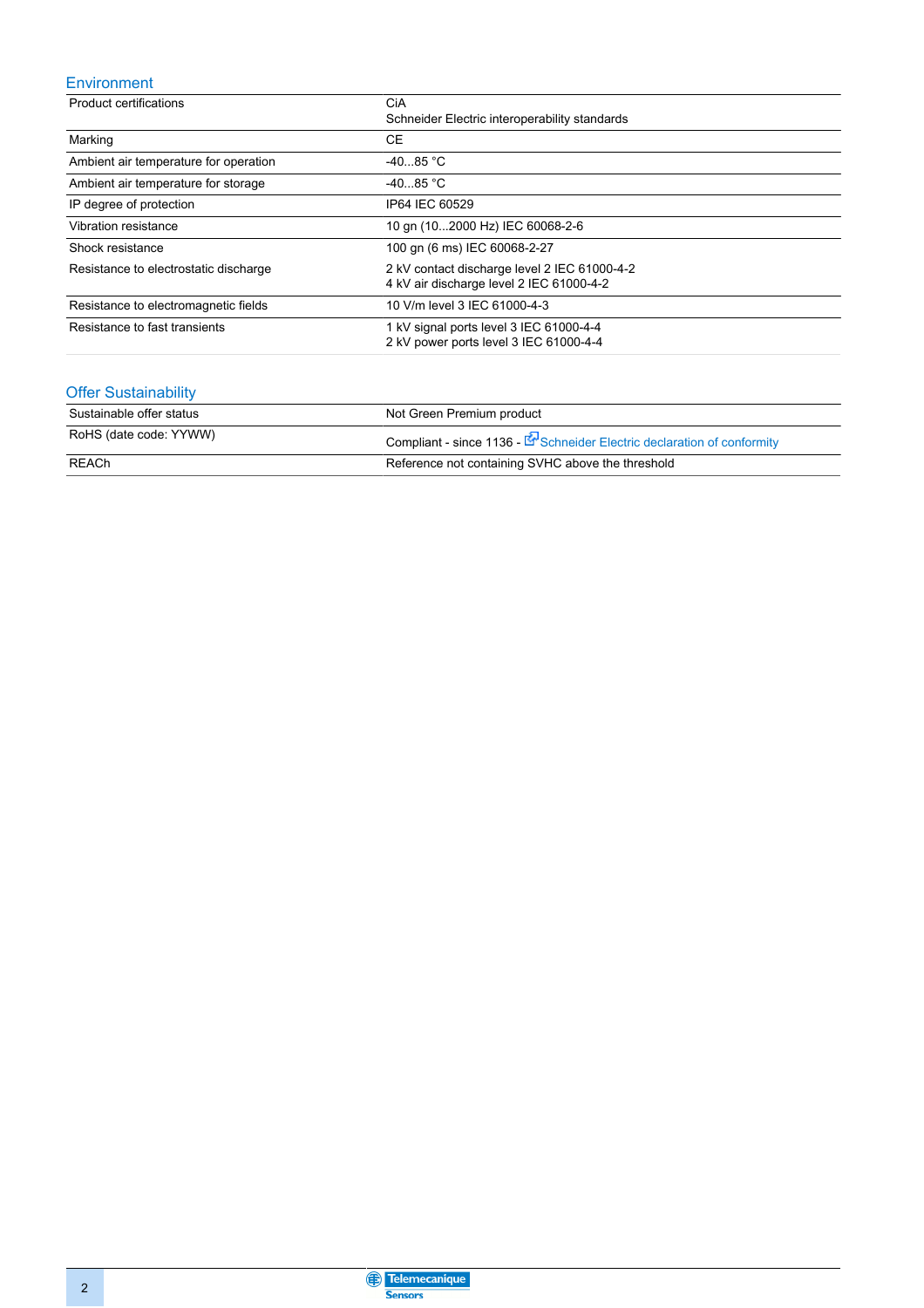#### Environment

| <b>Product certifications</b>         | CiA                                                                                      |  |  |
|---------------------------------------|------------------------------------------------------------------------------------------|--|--|
|                                       | Schneider Electric interoperability standards                                            |  |  |
| Marking                               | CE                                                                                       |  |  |
| Ambient air temperature for operation | $-4085 °C$                                                                               |  |  |
| Ambient air temperature for storage   | $-4085 °C$                                                                               |  |  |
| IP degree of protection               | IP64 IEC 60529                                                                           |  |  |
| Vibration resistance                  | 10 gn (102000 Hz) IEC 60068-2-6                                                          |  |  |
| Shock resistance                      | 100 gn (6 ms) IEC 60068-2-27                                                             |  |  |
| Resistance to electrostatic discharge | 2 kV contact discharge level 2 IEC 61000-4-2<br>4 kV air discharge level 2 IEC 61000-4-2 |  |  |
| Resistance to electromagnetic fields  | 10 V/m level 3 IEC 61000-4-3                                                             |  |  |
| Resistance to fast transients         | 1 kV signal ports level 3 IEC 61000-4-4<br>2 kV power ports level 3 IEC 61000-4-4        |  |  |

#### Offer Sustainability

| Sustainable offer status | Not Green Premium product                                                       |
|--------------------------|---------------------------------------------------------------------------------|
| RoHS (date code: YYWW)   | Compliant - since 1136 - Execution Schneider Electric declaration of conformity |
| REACh                    | Reference not containing SVHC above the threshold                               |

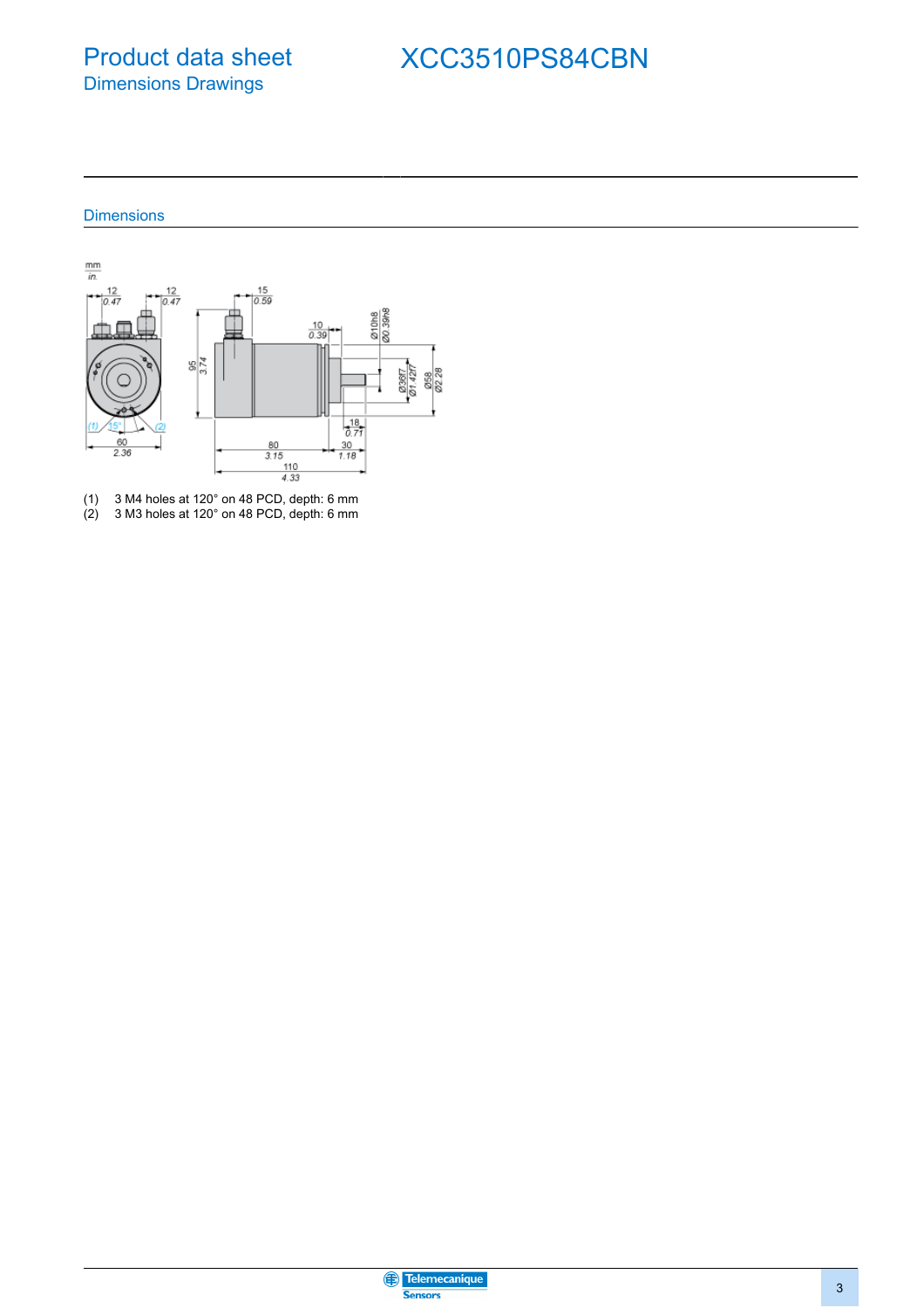### Product data sheet Dimensions Drawings

# XCC3510PS84CBN

#### **Dimensions**



(1) 3 M4 holes at 120° on 48 PCD, depth: 6 mm (2) 3 M3 holes at 120° on 48 PCD, depth: 6 mm